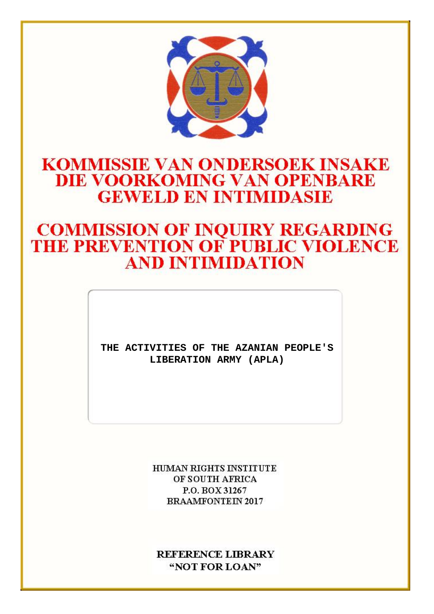

## **KOMMISSIE VAN ONDERSOEK INSAKE DIE VOORKOMING VAN OPENBARE GEWELD EN INTIMIDASIE**

# **COMMISSION OF INQUIRY REGARDING<br>THE PREVENTION OF PUBLIC VIOLENCE AND INTIMIDATION**

**THE ACTIVITIES OF THE AZANIAN PEOPLE'S LIBERATION ARMY (APLA)**

> **HUMAN RIGHTS INSTITUTE** OF SOUTH AFRICA P.O. BOX 31267 **BRAAMFONTEIN 2017**

**REFERENCE LIBRARY** "NOT FOR LOAN"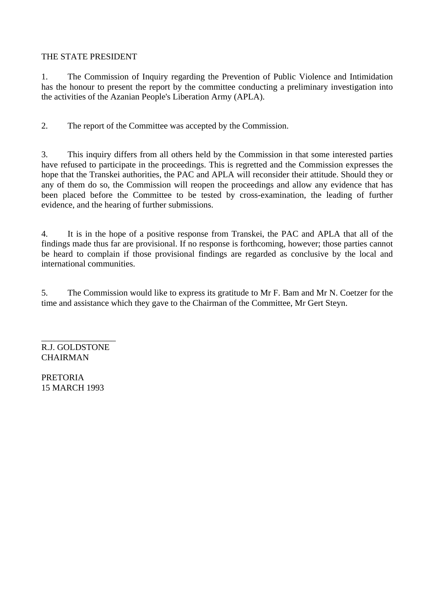#### THE STATE PRESIDENT

1. The Commission of Inquiry regarding the Prevention of Public Violence and Intimidation has the honour to present the report by the committee conducting a preliminary investigation into the activities of the Azanian People's Liberation Army (APLA).

2. The report of the Committee was accepted by the Commission.

3. This inquiry differs from all others held by the Commission in that some interested parties have refused to participate in the proceedings. This is regretted and the Commission expresses the hope that the Transkei authorities, the PAC and APLA will reconsider their attitude. Should they or any of them do so, the Commission will reopen the proceedings and allow any evidence that has been placed before the Committee to be tested by cross-examination, the leading of further evidence, and the hearing of further submissions.

4. It is in the hope of a positive response from Transkei, the PAC and APLA that all of the findings made thus far are provisional. If no response is forthcoming, however; those parties cannot be heard to complain if those provisional findings are regarded as conclusive by the local and international communities.

5. The Commission would like to express its gratitude to Mr F. Bam and Mr N. Coetzer for the time and assistance which they gave to the Chairman of the Committee, Mr Gert Steyn.

\_\_\_\_\_\_\_\_\_\_\_\_\_\_\_\_\_ R.J. GOLDSTONE **CHAIRMAN** 

PRETORIA 15 MARCH 1993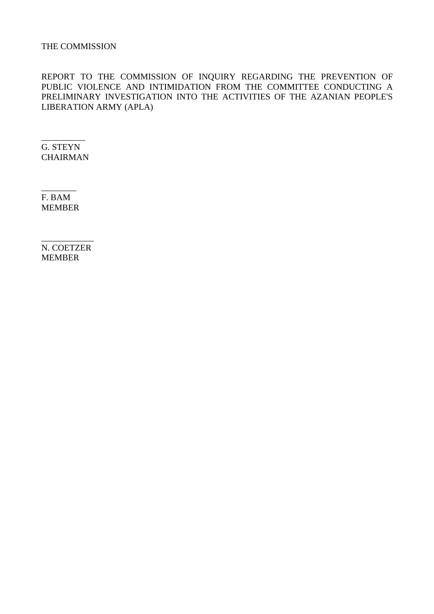#### THE COMMISSION

REPORT TO THE COMMISSION OF INQUIRY REGARDING THE PREVENTION OF PUBLIC VIOLENCE AND INTIMIDATION FROM THE COMMITTEE CONDUCTING A PRELIMINARY INVESTIGATION INTO THE ACTIVITIES OF THE AZANIAN PEOPLE'S LIBERATION ARMY (APLA)

\_\_\_\_\_\_\_\_\_\_ G. STEYN CHAIRMAN

 $\overline{\phantom{a}}$   $\overline{\phantom{a}}$ F. BAM MEMBER

N. COETZER MEMBER

\_\_\_\_\_\_\_\_\_\_\_\_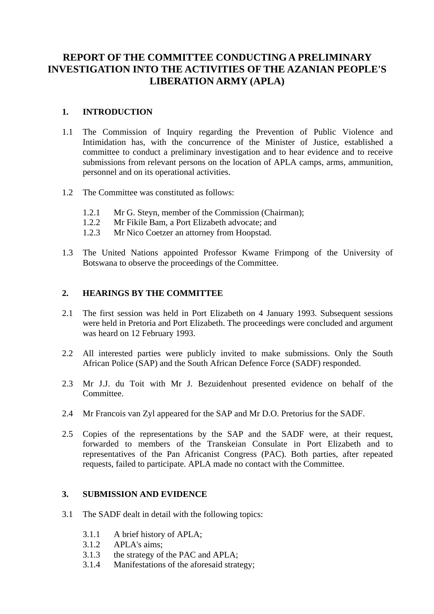### **REPORT OF THE COMMITTEE CONDUCTING A PRELIMINARY INVESTIGATION INTO THE ACTIVITIES OF THE AZANIAN PEOPLE'S LIBERATION ARMY (APLA)**

#### **1. INTRODUCTION**

- 1.1 The Commission of Inquiry regarding the Prevention of Public Violence and Intimidation has, with the concurrence of the Minister of Justice, established a committee to conduct a preliminary investigation and to hear evidence and to receive submissions from relevant persons on the location of APLA camps, arms, ammunition, personnel and on its operational activities.
- 1.2 The Committee was constituted as follows:
	- 1.2.1 Mr G. Steyn, member of the Commission (Chairman);
	- 1.2.2 Mr Fikile Bam, a Port Elizabeth advocate; and
	- 1.2.3 Mr Nico Coetzer an attorney from Hoopstad.
- 1.3 The United Nations appointed Professor Kwame Frimpong of the University of Botswana to observe the proceedings of the Committee.

#### **2. HEARINGS BY THE COMMITTEE**

- 2.1 The first session was held in Port Elizabeth on 4 January 1993. Subsequent sessions were held in Pretoria and Port Elizabeth. The proceedings were concluded and argument was heard on 12 February 1993.
- 2.2 All interested parties were publicly invited to make submissions. Only the South African Police (SAP) and the South African Defence Force (SADF) responded.
- 2.3 Mr J.J. du Toit with Mr J. Bezuidenhout presented evidence on behalf of the **Committee.**
- 2.4 Mr Francois van Zyl appeared for the SAP and Mr D.O. Pretorius for the SADF.
- 2.5 Copies of the representations by the SAP and the SADF were, at their request, forwarded to members of the Transkeian Consulate in Port Elizabeth and to representatives of the Pan Africanist Congress (PAC). Both parties, after repeated requests, failed to participate. APLA made no contact with the Committee.

#### **3. SUBMISSION AND EVIDENCE**

- 3.1 The SADF dealt in detail with the following topics:
	- 3.1.1 A brief history of APLA;
	- 3.1.2 APLA's aims;
	- 3.1.3 the strategy of the PAC and APLA;
	- 3.1.4 Manifestations of the aforesaid strategy;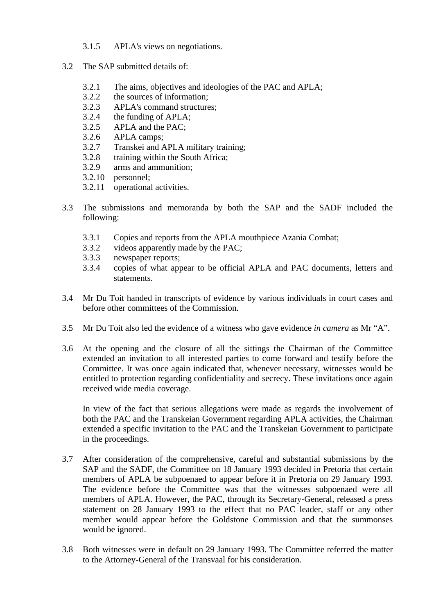- 3.1.5 APLA's views on negotiations.
- 3.2 The SAP submitted details of:
	- 3.2.1 The aims, objectives and ideologies of the PAC and APLA;
	- 3.2.2 the sources of information;
	- 3.2.3 APLA's command structures;
	- 3.2.4 the funding of APLA;
	- 3.2.5 APLA and the PAC;
	- 3.2.6 APLA camps;
	- 3.2.7 Transkei and APLA military training;
	- 3.2.8 training within the South Africa;
	- 3.2.9 arms and ammunition;
	- 3.2.10 personnel;
	- 3.2.11 operational activities.
- 3.3 The submissions and memoranda by both the SAP and the SADF included the following:
	- 3.3.1 Copies and reports from the APLA mouthpiece Azania Combat;
	- 3.3.2 videos apparently made by the PAC;
	- 3.3.3 newspaper reports;
	- 3.3.4 copies of what appear to be official APLA and PAC documents, letters and statements.
- 3.4 Mr Du Toit handed in transcripts of evidence by various individuals in court cases and before other committees of the Commission.
- 3.5 Mr Du Toit also led the evidence of a witness who gave evidence *in camera* as Mr "A".
- 3.6 At the opening and the closure of all the sittings the Chairman of the Committee extended an invitation to all interested parties to come forward and testify before the Committee. It was once again indicated that, whenever necessary, witnesses would be entitled to protection regarding confidentiality and secrecy. These invitations once again received wide media coverage.

In view of the fact that serious allegations were made as regards the involvement of both the PAC and the Transkeian Government regarding APLA activities, the Chairman extended a specific invitation to the PAC and the Transkeian Government to participate in the proceedings.

- 3.7 After consideration of the comprehensive, careful and substantial submissions by the SAP and the SADF, the Committee on 18 January 1993 decided in Pretoria that certain members of APLA be subpoenaed to appear before it in Pretoria on 29 January 1993. The evidence before the Committee was that the witnesses subpoenaed were all members of APLA. However, the PAC, through its Secretary-General, released a press statement on 28 January 1993 to the effect that no PAC leader, staff or any other member would appear before the Goldstone Commission and that the summonses would be ignored.
- 3.8 Both witnesses were in default on 29 January 1993. The Committee referred the matter to the Attorney-General of the Transvaal for his consideration.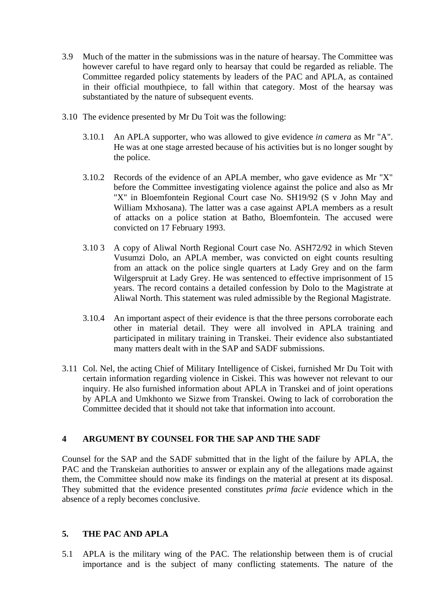- 3.9 Much of the matter in the submissions was in the nature of hearsay. The Committee was however careful to have regard only to hearsay that could be regarded as reliable. The Committee regarded policy statements by leaders of the PAC and APLA, as contained in their official mouthpiece, to fall within that category. Most of the hearsay was substantiated by the nature of subsequent events.
- 3.10 The evidence presented by Mr Du Toit was the following:
	- 3.10.1 An APLA supporter, who was allowed to give evidence *in camera* as Mr "A". He was at one stage arrested because of his activities but is no longer sought by the police.
	- 3.10.2 Records of the evidence of an APLA member, who gave evidence as Mr "X" before the Committee investigating violence against the police and also as Mr "X" in Bloemfontein Regional Court case No. SH19/92 (S v John May and William Mxhosana). The latter was a case against APLA members as a result of attacks on a police station at Batho, Bloemfontein. The accused were convicted on 17 February 1993.
	- 3.10 3 A copy of Aliwal North Regional Court case No. ASH72/92 in which Steven Vusumzi Dolo, an APLA member, was convicted on eight counts resulting from an attack on the police single quarters at Lady Grey and on the farm Wilgerspruit at Lady Grey. He was sentenced to effective imprisonment of 15 years. The record contains a detailed confession by Dolo to the Magistrate at Aliwal North. This statement was ruled admissible by the Regional Magistrate.
	- 3.10.4 An important aspect of their evidence is that the three persons corroborate each other in material detail. They were all involved in APLA training and participated in military training in Transkei. Their evidence also substantiated many matters dealt with in the SAP and SADF submissions.
- 3.11 Col. Nel, the acting Chief of Military Intelligence of Ciskei, furnished Mr Du Toit with certain information regarding violence in Ciskei. This was however not relevant to our inquiry. He also furnished information about APLA in Transkei and of joint operations by APLA and Umkhonto we Sizwe from Transkei. Owing to lack of corroboration the Committee decided that it should not take that information into account.

#### **4 ARGUMENT BY COUNSEL FOR THE SAP AND THE SADF**

Counsel for the SAP and the SADF submitted that in the light of the failure by APLA, the PAC and the Transkeian authorities to answer or explain any of the allegations made against them, the Committee should now make its findings on the material at present at its disposal. They submitted that the evidence presented constitutes *prima facie* evidence which in the absence of a reply becomes conclusive.

#### **5. THE PAC AND APLA**

5.1 APLA is the military wing of the PAC. The relationship between them is of crucial importance and is the subject of many conflicting statements. The nature of the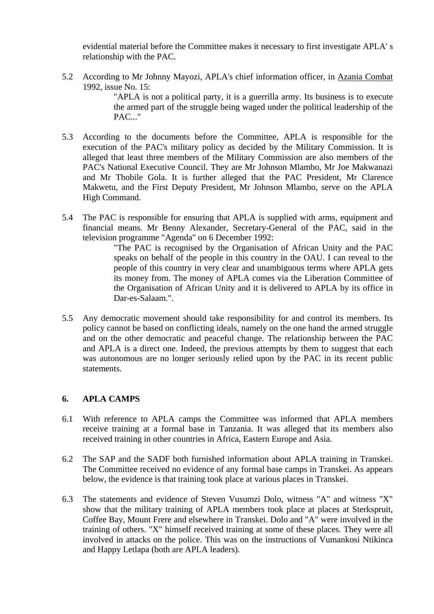evidential material before the Committee makes it necessary to first investigate APLA' s relationship with the PAC.

5.2 According to Mr Johnny Mayozi, APLA's chief information officer, in Azania Combat 1992, issue No. 15:

> "APLA is not a political party, it is a guerrilla army. Its business is to execute the armed part of the struggle being waged under the political leadership of the PAC..."

- 5.3 According to the documents before the Committee, APLA is responsible for the execution of the PAC's military policy as decided by the Military Commission. It is alleged that least three members of the Military Commission are also members of the PAC's National Executive Council. They are Mr Johnson Mlambo, Mr Joe Makwanazi and Mr Thobile Gola. It is further alleged that the PAC President, Mr Clarence Makwetu, and the First Deputy President, Mr Johnson Mlambo, serve on the APLA High Command.
- 5.4 The PAC is responsible for ensuring that APLA is supplied with arms, equipment and financial means. Mr Benny Alexander, Secretary-General of the PAC, said in the television programme "Agenda" on 6 December 1992:

"The PAC is recognised by the Organisation of African Unity and the PAC speaks on behalf of the people in this country in the OAU. I can reveal to the people of this country in very clear and unambiguous terms where APLA gets its money from. The money of APLA comes via the Liberation Committee of the Organisation of African Unity and it is delivered to APLA by its office in Dar-es-Salaam.".

5.5 Any democratic movement should take responsibility for and control its members. Its policy cannot be based on conflicting ideals, namely on the one hand the armed struggle and on the other democratic and peaceful change. The relationship between the PAC and APLA is a direct one. Indeed, the previous attempts by them to suggest that each was autonomous are no longer seriously relied upon by the PAC in its recent public statements.

#### **6. APLA CAMPS**

- 6.1 With reference to APLA camps the Committee was informed that APLA members receive training at a formal base in Tanzania. It was alleged that its members also received training in other countries in Africa, Eastern Europe and Asia.
- 6.2 The SAP and the SADF both furnished information about APLA training in Transkei. The Committee received no evidence of any formal base camps in Transkei. As appears below, the evidence is that training took place at various places in Transkei.
- 6.3 The statements and evidence of Steven Vusumzi Dolo, witness "A" and witness "X" show that the military training of APLA members took place at places at Sterkspruit, Coffee Bay, Mount Frere and elsewhere in Transkei. Dolo and "A" were involved in the training of others. "X" himself received training at some of these places. They were all involved in attacks on the police. This was on the instructions of Vumankosi Ntikinca and Happy Letlapa (both are APLA leaders).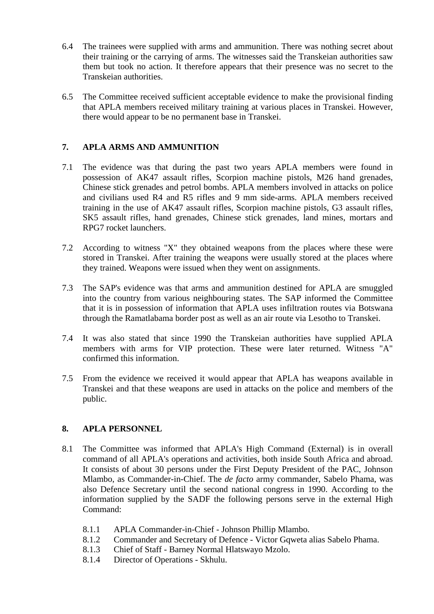- 6.4 The trainees were supplied with arms and ammunition. There was nothing secret about their training or the carrying of arms. The witnesses said the Transkeian authorities saw them but took no action. It therefore appears that their presence was no secret to the Transkeian authorities.
- 6.5 The Committee received sufficient acceptable evidence to make the provisional finding that APLA members received military training at various places in Transkei. However, there would appear to be no permanent base in Transkei.

#### **7. APLA ARMS AND AMMUNITION**

- 7.1 The evidence was that during the past two years APLA members were found in possession of AK47 assault rifles, Scorpion machine pistols, M26 hand grenades, Chinese stick grenades and petrol bombs. APLA members involved in attacks on police and civilians used R4 and R5 rifles and 9 mm side-arms. APLA members received training in the use of AK47 assault rifles, Scorpion machine pistols, G3 assault rifles, SK5 assault rifles, hand grenades, Chinese stick grenades, land mines, mortars and RPG7 rocket launchers.
- 7.2 According to witness "X" they obtained weapons from the places where these were stored in Transkei. After training the weapons were usually stored at the places where they trained. Weapons were issued when they went on assignments.
- 7.3 The SAP's evidence was that arms and ammunition destined for APLA are smuggled into the country from various neighbouring states. The SAP informed the Committee that it is in possession of information that APLA uses infiltration routes via Botswana through the Ramatlabama border post as well as an air route via Lesotho to Transkei.
- 7.4 It was also stated that since 1990 the Transkeian authorities have supplied APLA members with arms for VIP protection. These were later returned. Witness "A" confirmed this information.
- 7.5 From the evidence we received it would appear that APLA has weapons available in Transkei and that these weapons are used in attacks on the police and members of the public.

#### **8. APLA PERSONNEL**

- 8.1 The Committee was informed that APLA's High Command (External) is in overall command of all APLA's operations and activities, both inside South Africa and abroad. It consists of about 30 persons under the First Deputy President of the PAC, Johnson Mlambo, as Commander-in-Chief. The *de facto* army commander, Sabelo Phama, was also Defence Secretary until the second national congress in 1990. According to the information supplied by the SADF the following persons serve in the external High Command:
	- 8.1.1 APLA Commander-in-Chief Johnson Phillip Mlambo.
	- 8.1.2 Commander and Secretary of Defence Victor Gqweta alias Sabelo Phama.
	- 8.1.3 Chief of Staff Barney Normal Hlatswayo Mzolo.
	- 8.1.4 Director of Operations Skhulu.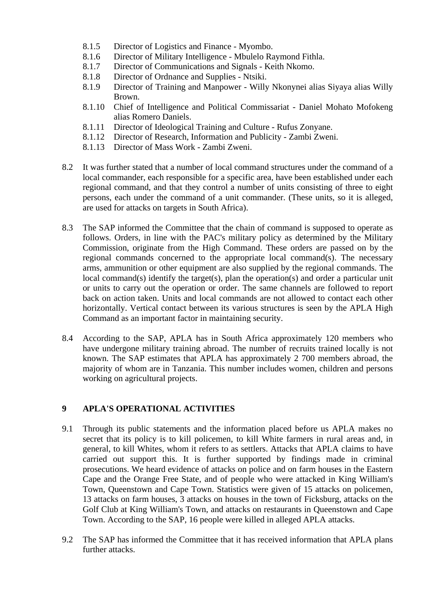- 8.1.5 Director of Logistics and Finance Myombo.
- 8.1.6 Director of Military Intelligence Mbulelo Raymond Fithla.
- 8.1.7 Director of Communications and Signals Keith Nkomo.
- 8.1.8 Director of Ordnance and Supplies Ntsiki.
- 8.1.9 Director of Training and Manpower Willy Nkonynei alias Siyaya alias Willy Brown.
- 8.1.10 Chief of Intelligence and Political Commissariat Daniel Mohato Mofokeng alias Romero Daniels.
- 8.1.11 Director of Ideological Training and Culture Rufus Zonyane.
- 8.1.12 Director of Research, Information and Publicity Zambi Zweni.
- 8.1.13 Director of Mass Work Zambi Zweni.
- 8.2 It was further stated that a number of local command structures under the command of a local commander, each responsible for a specific area, have been established under each regional command, and that they control a number of units consisting of three to eight persons, each under the command of a unit commander. (These units, so it is alleged, are used for attacks on targets in South Africa).
- 8.3 The SAP informed the Committee that the chain of command is supposed to operate as follows. Orders, in line with the PAC's military policy as determined by the Military Commission, originate from the High Command. These orders are passed on by the regional commands concerned to the appropriate local command(s). The necessary arms, ammunition or other equipment are also supplied by the regional commands. The local command(s) identify the target(s), plan the operation(s) and order a particular unit or units to carry out the operation or order. The same channels are followed to report back on action taken. Units and local commands are not allowed to contact each other horizontally. Vertical contact between its various structures is seen by the APLA High Command as an important factor in maintaining security.
- 8.4 According to the SAP, APLA has in South Africa approximately 120 members who have undergone military training abroad. The number of recruits trained locally is not known. The SAP estimates that APLA has approximately 2 700 members abroad, the majority of whom are in Tanzania. This number includes women, children and persons working on agricultural projects.

#### **9 APLA'S OPERATIONAL ACTIVITIES**

- 9.1 Through its public statements and the information placed before us APLA makes no secret that its policy is to kill policemen, to kill White farmers in rural areas and, in general, to kill Whites, whom it refers to as settlers. Attacks that APLA claims to have carried out support this. It is further supported by findings made in criminal prosecutions. We heard evidence of attacks on police and on farm houses in the Eastern Cape and the Orange Free State, and of people who were attacked in King William's Town, Queenstown and Cape Town. Statistics were given of 15 attacks on policemen, 13 attacks on farm houses, 3 attacks on houses in the town of Ficksburg, attacks on the Golf Club at King William's Town, and attacks on restaurants in Queenstown and Cape Town. According to the SAP, 16 people were killed in alleged APLA attacks.
- 9.2 The SAP has informed the Committee that it has received information that APLA plans further attacks.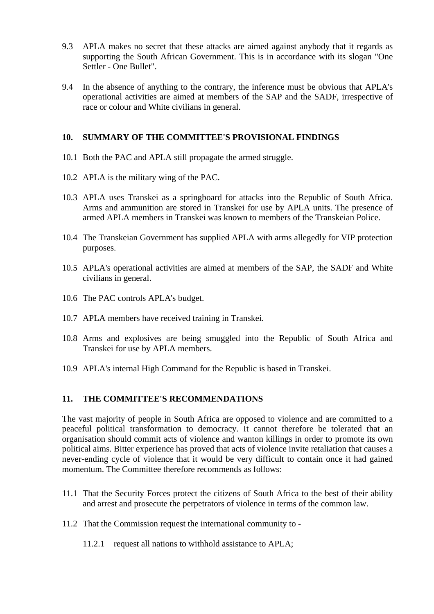- 9.3 APLA makes no secret that these attacks are aimed against anybody that it regards as supporting the South African Government. This is in accordance with its slogan "One Settler - One Bullet".
- 9.4 In the absence of anything to the contrary, the inference must be obvious that APLA's operational activities are aimed at members of the SAP and the SADF, irrespective of race or colour and White civilians in general.

#### **10. SUMMARY OF THE COMMITTEE'S PROVISIONAL FINDINGS**

- 10.1 Both the PAC and APLA still propagate the armed struggle.
- 10.2 APLA is the military wing of the PAC.
- 10.3 APLA uses Transkei as a springboard for attacks into the Republic of South Africa. Arms and ammunition are stored in Transkei for use by APLA units. The presence of armed APLA members in Transkei was known to members of the Transkeian Police.
- 10.4 The Transkeian Government has supplied APLA with arms allegedly for VIP protection purposes.
- 10.5 APLA's operational activities are aimed at members of the SAP, the SADF and White civilians in general.
- 10.6 The PAC controls APLA's budget.
- 10.7 APLA members have received training in Transkei.
- 10.8 Arms and explosives are being smuggled into the Republic of South Africa and Transkei for use by APLA members.
- 10.9 APLA's internal High Command for the Republic is based in Transkei.

#### **11. THE COMMITTEE'S RECOMMENDATIONS**

The vast majority of people in South Africa are opposed to violence and are committed to a peaceful political transformation to democracy. It cannot therefore be tolerated that an organisation should commit acts of violence and wanton killings in order to promote its own political aims. Bitter experience has proved that acts of violence invite retaliation that causes a never-ending cycle of violence that it would be very difficult to contain once it had gained momentum. The Committee therefore recommends as follows:

- 11.1 That the Security Forces protect the citizens of South Africa to the best of their ability and arrest and prosecute the perpetrators of violence in terms of the common law.
- 11.2 That the Commission request the international community to
	- 11.2.1 request all nations to withhold assistance to APLA;